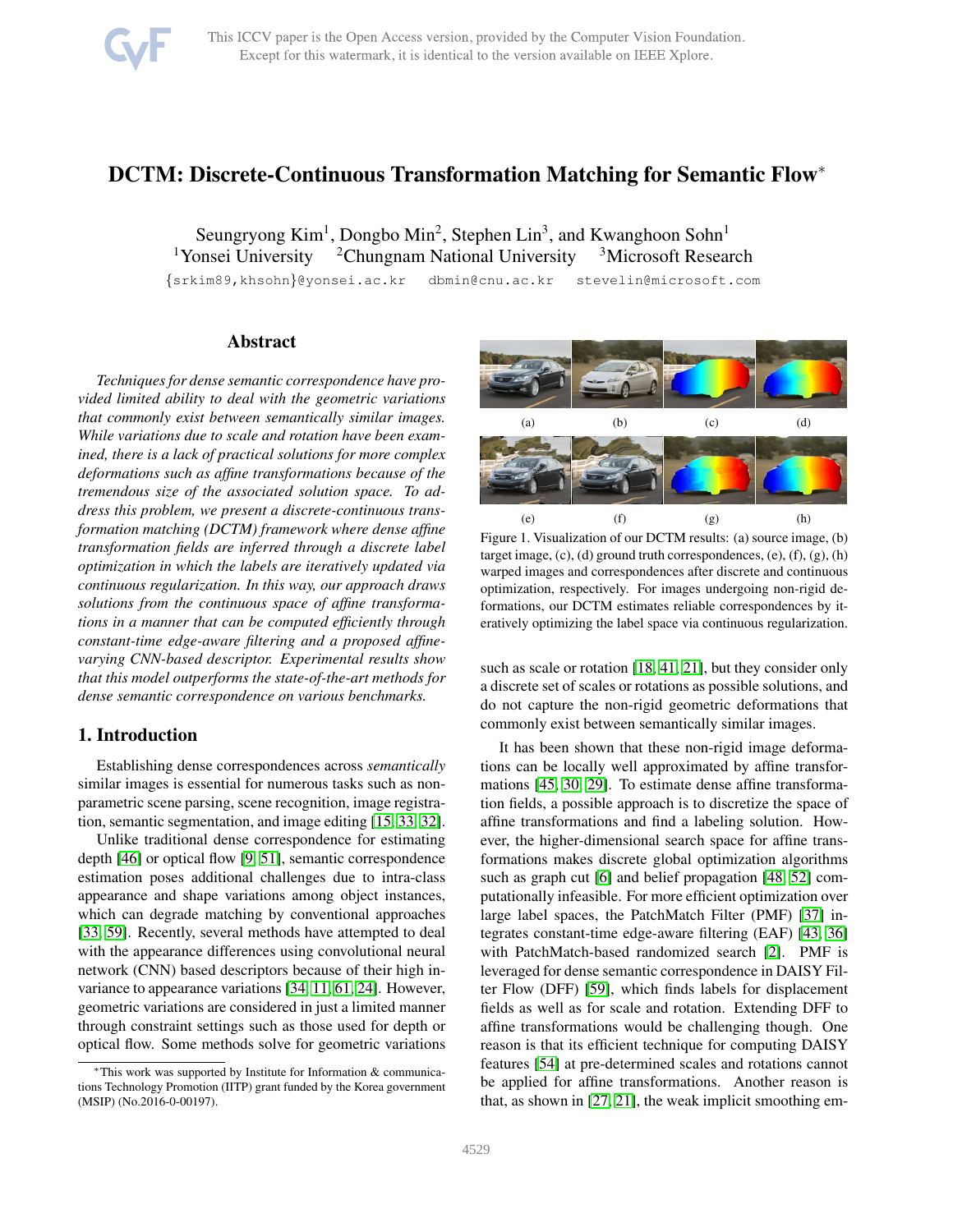

# DCTM: Discrete-Continuous Transformation Matching for Semantic Flow<sup>∗</sup>

Seungryong Kim<sup>1</sup>, Dongbo Min<sup>2</sup>, Stephen Lin<sup>3</sup>, and Kwanghoon Sohn<sup>1</sup> <sup>1</sup>Yonsei University <sup>2</sup>Chungnam National University <sup>3</sup>Microsoft Research

{srkim89,khsohn}@yonsei.ac.kr dbmin@cnu.ac.kr stevelin@microsoft.com

# Abstract

*Techniques for dense semantic correspondence have provided limited ability to deal with the geometric variations that commonly exist between semantically similar images. While variations due to scale and rotation have been examined, there is a lack of practical solutions for more complex deformations such as affine transformations because of the tremendous size of the associated solution space. To address this problem, we present a discrete-continuous transformation matching (DCTM) framework where dense affine transformation fields are inferred through a discrete label optimization in which the labels are iteratively updated via continuous regularization. In this way, our approach draws solutions from the continuous space of affine transformations in a manner that can be computed efficiently through constant-time edge-aware filtering and a proposed affinevarying CNN-based descriptor. Experimental results show that this model outperforms the state-of-the-art methods for dense semantic correspondence on various benchmarks.*

## 1. Introduction

Establishing dense correspondences across *semantically* similar images is essential for numerous tasks such as nonparametric scene parsing, scene recognition, image registration, semantic segmentation, and image editing [\[15,](#page-8-0) [33,](#page-8-1) [32\]](#page-8-2).

Unlike traditional dense correspondence for estimating depth [\[46\]](#page-9-0) or optical flow [\[9,](#page-8-3) [51\]](#page-9-1), semantic correspondence estimation poses additional challenges due to intra-class appearance and shape variations among object instances, which can degrade matching by conventional approaches [\[33,](#page-8-1) [59\]](#page-9-2). Recently, several methods have attempted to deal with the appearance differences using convolutional neural network (CNN) based descriptors because of their high invariance to appearance variations [\[34,](#page-8-4) [11,](#page-8-5) [61,](#page-9-3) [24\]](#page-8-6). However, geometric variations are considered in just a limited manner through constraint settings such as those used for depth or optical flow. Some methods solve for geometric variations



<span id="page-0-0"></span>Figure 1. Visualization of our DCTM results: (a) source image, (b) target image, (c), (d) ground truth correspondences, (e), (f), (g), (h) warped images and correspondences after discrete and continuous optimization, respectively. For images undergoing non-rigid deformations, our DCTM estimates reliable correspondences by iteratively optimizing the label space via continuous regularization.

such as scale or rotation [\[18,](#page-8-7) [41,](#page-8-8) [21\]](#page-8-9), but they consider only a discrete set of scales or rotations as possible solutions, and do not capture the non-rigid geometric deformations that commonly exist between semantically similar images.

It has been shown that these non-rigid image deformations can be locally well approximated by affine transformations [\[45,](#page-9-4) [30,](#page-8-10) [29\]](#page-8-11). To estimate dense affine transformation fields, a possible approach is to discretize the space of affine transformations and find a labeling solution. However, the higher-dimensional search space for affine transformations makes discrete global optimization algorithms such as graph cut [\[6\]](#page-8-12) and belief propagation [\[48,](#page-9-5) [52\]](#page-9-6) computationally infeasible. For more efficient optimization over large label spaces, the PatchMatch Filter (PMF) [\[37\]](#page-8-13) integrates constant-time edge-aware filtering (EAF) [\[43,](#page-8-14) [36\]](#page-8-15) with PatchMatch-based randomized search [\[2\]](#page-8-16). PMF is leveraged for dense semantic correspondence in DAISY Filter Flow (DFF) [\[59\]](#page-9-2), which finds labels for displacement fields as well as for scale and rotation. Extending DFF to affine transformations would be challenging though. One reason is that its efficient technique for computing DAISY features [\[54\]](#page-9-7) at pre-determined scales and rotations cannot be applied for affine transformations. Another reason is that, as shown in [\[27,](#page-8-17) [21\]](#page-8-9), the weak implicit smoothing em-

<sup>∗</sup>This work was supported by Institute for Information & communications Technology Promotion (IITP) grant funded by the Korea government (MSIP) (No.2016-0-00197).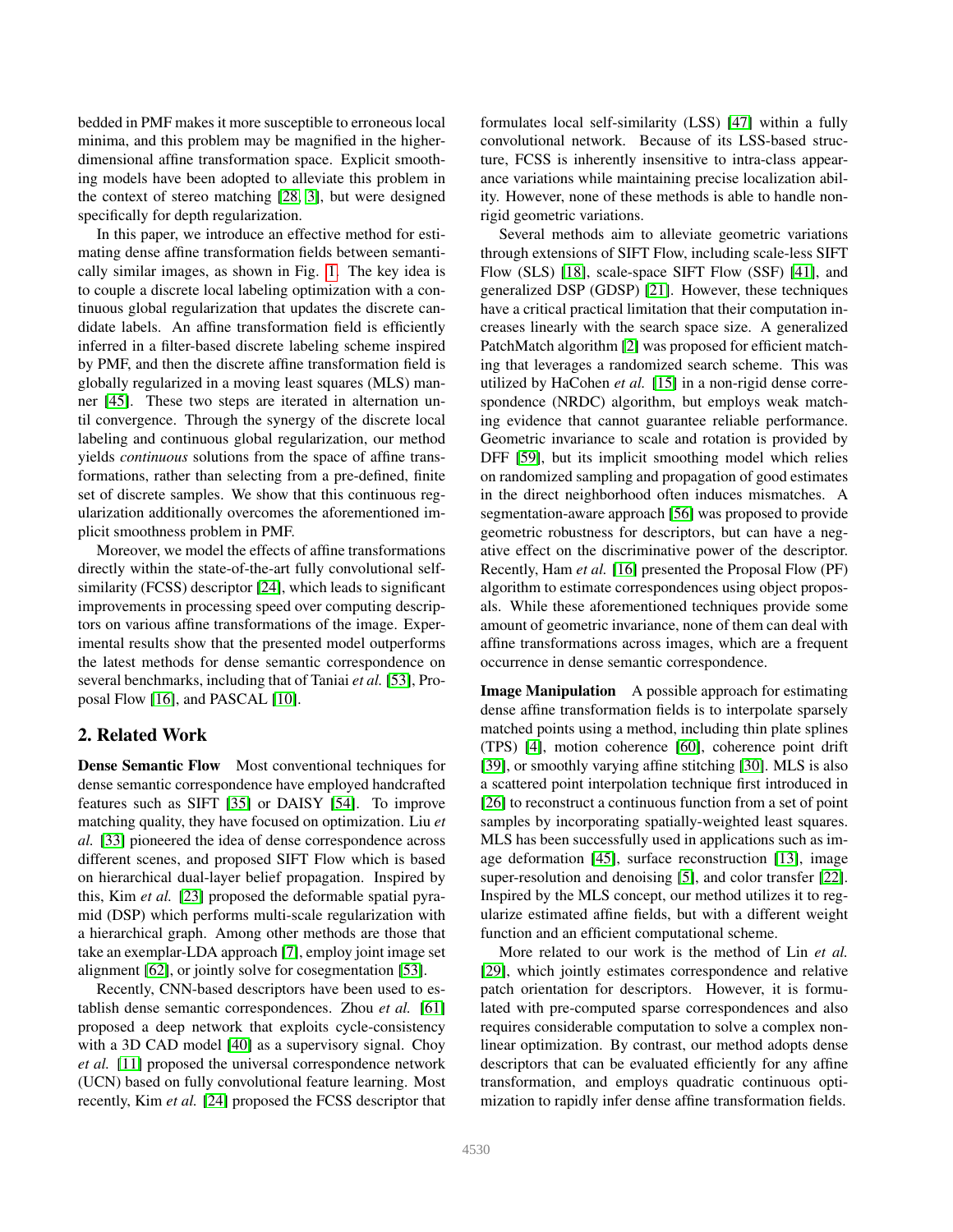bedded in PMF makes it more susceptible to erroneous local minima, and this problem may be magnified in the higherdimensional affine transformation space. Explicit smoothing models have been adopted to alleviate this problem in the context of stereo matching [\[28,](#page-8-18) [3\]](#page-8-19), but were designed specifically for depth regularization.

In this paper, we introduce an effective method for estimating dense affine transformation fields between semantically similar images, as shown in Fig. [1.](#page-0-0) The key idea is to couple a discrete local labeling optimization with a continuous global regularization that updates the discrete candidate labels. An affine transformation field is efficiently inferred in a filter-based discrete labeling scheme inspired by PMF, and then the discrete affine transformation field is globally regularized in a moving least squares (MLS) manner [\[45\]](#page-9-4). These two steps are iterated in alternation until convergence. Through the synergy of the discrete local labeling and continuous global regularization, our method yields *continuous* solutions from the space of affine transformations, rather than selecting from a pre-defined, finite set of discrete samples. We show that this continuous regularization additionally overcomes the aforementioned implicit smoothness problem in PMF.

Moreover, we model the effects of affine transformations directly within the state-of-the-art fully convolutional selfsimilarity (FCSS) descriptor [\[24\]](#page-8-6), which leads to significant improvements in processing speed over computing descriptors on various affine transformations of the image. Experimental results show that the presented model outperforms the latest methods for dense semantic correspondence on several benchmarks, including that of Taniai *et al.* [\[53\]](#page-9-8), Proposal Flow [\[16\]](#page-8-20), and PASCAL [\[10\]](#page-8-21).

# 2. Related Work

Dense Semantic Flow Most conventional techniques for dense semantic correspondence have employed handcrafted features such as SIFT [\[35\]](#page-8-22) or DAISY [\[54\]](#page-9-7). To improve matching quality, they have focused on optimization. Liu *et al.* [\[33\]](#page-8-1) pioneered the idea of dense correspondence across different scenes, and proposed SIFT Flow which is based on hierarchical dual-layer belief propagation. Inspired by this, Kim *et al.* [\[23\]](#page-8-23) proposed the deformable spatial pyramid (DSP) which performs multi-scale regularization with a hierarchical graph. Among other methods are those that take an exemplar-LDA approach [\[7\]](#page-8-24), employ joint image set alignment [\[62\]](#page-9-9), or jointly solve for cosegmentation [\[53\]](#page-9-8).

Recently, CNN-based descriptors have been used to establish dense semantic correspondences. Zhou *et al.* [\[61\]](#page-9-3) proposed a deep network that exploits cycle-consistency with a 3D CAD model [\[40\]](#page-8-25) as a supervisory signal. Choy *et al.* [\[11\]](#page-8-5) proposed the universal correspondence network (UCN) based on fully convolutional feature learning. Most recently, Kim *et al.* [\[24\]](#page-8-6) proposed the FCSS descriptor that formulates local self-similarity (LSS) [\[47\]](#page-9-10) within a fully convolutional network. Because of its LSS-based structure, FCSS is inherently insensitive to intra-class appearance variations while maintaining precise localization ability. However, none of these methods is able to handle nonrigid geometric variations.

Several methods aim to alleviate geometric variations through extensions of SIFT Flow, including scale-less SIFT Flow (SLS) [\[18\]](#page-8-7), scale-space SIFT Flow (SSF) [\[41\]](#page-8-8), and generalized DSP (GDSP) [\[21\]](#page-8-9). However, these techniques have a critical practical limitation that their computation increases linearly with the search space size. A generalized PatchMatch algorithm [\[2\]](#page-8-16) was proposed for efficient matching that leverages a randomized search scheme. This was utilized by HaCohen *et al.* [\[15\]](#page-8-0) in a non-rigid dense correspondence (NRDC) algorithm, but employs weak matching evidence that cannot guarantee reliable performance. Geometric invariance to scale and rotation is provided by DFF [\[59\]](#page-9-2), but its implicit smoothing model which relies on randomized sampling and propagation of good estimates in the direct neighborhood often induces mismatches. A segmentation-aware approach [\[56\]](#page-9-11) was proposed to provide geometric robustness for descriptors, but can have a negative effect on the discriminative power of the descriptor. Recently, Ham *et al.* [\[16\]](#page-8-20) presented the Proposal Flow (PF) algorithm to estimate correspondences using object proposals. While these aforementioned techniques provide some amount of geometric invariance, none of them can deal with affine transformations across images, which are a frequent occurrence in dense semantic correspondence.

Image Manipulation A possible approach for estimating dense affine transformation fields is to interpolate sparsely matched points using a method, including thin plate splines (TPS) [\[4\]](#page-8-26), motion coherence [\[60\]](#page-9-12), coherence point drift [\[39\]](#page-8-27), or smoothly varying affine stitching [\[30\]](#page-8-10). MLS is also a scattered point interpolation technique first introduced in [\[26\]](#page-8-28) to reconstruct a continuous function from a set of point samples by incorporating spatially-weighted least squares. MLS has been successfully used in applications such as image deformation [\[45\]](#page-9-4), surface reconstruction [\[13\]](#page-8-29), image super-resolution and denoising [\[5\]](#page-8-30), and color transfer [\[22\]](#page-8-31). Inspired by the MLS concept, our method utilizes it to regularize estimated affine fields, but with a different weight function and an efficient computational scheme.

More related to our work is the method of Lin *et al.* [\[29\]](#page-8-11), which jointly estimates correspondence and relative patch orientation for descriptors. However, it is formulated with pre-computed sparse correspondences and also requires considerable computation to solve a complex nonlinear optimization. By contrast, our method adopts dense descriptors that can be evaluated efficiently for any affine transformation, and employs quadratic continuous optimization to rapidly infer dense affine transformation fields.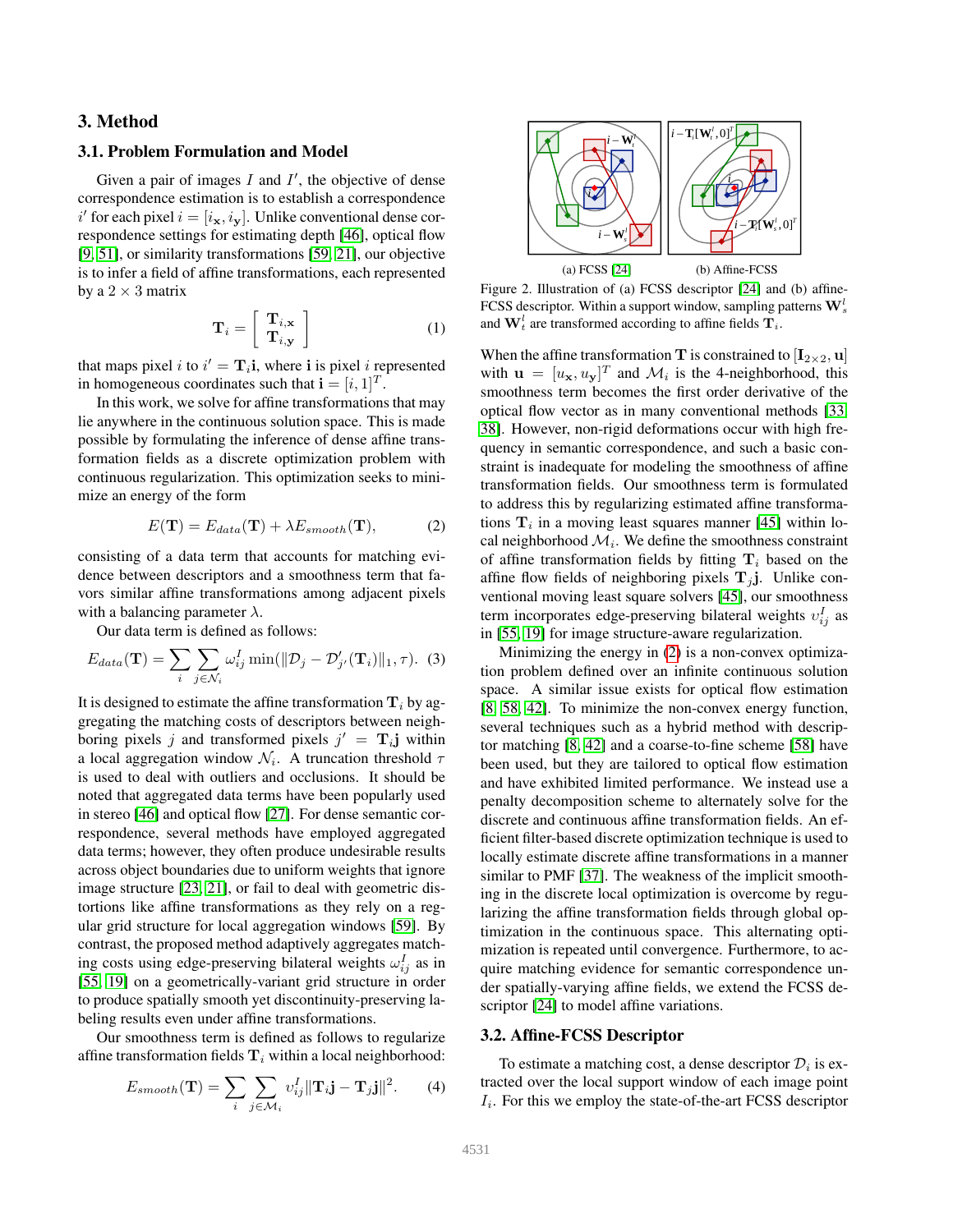## 3. Method

## 3.1. Problem Formulation and Model

Given a pair of images  $I$  and  $I'$ , the objective of dense correspondence estimation is to establish a correspondence i' for each pixel  $i = [i_{\mathbf{x}}, i_{\mathbf{y}}]$ . Unlike conventional dense correspondence settings for estimating depth [\[46\]](#page-9-0), optical flow [\[9,](#page-8-3) [51\]](#page-9-1), or similarity transformations [\[59,](#page-9-2) [21\]](#page-8-9), our objective is to infer a field of affine transformations, each represented by a  $2 \times 3$  matrix

$$
\mathbf{T}_{i} = \left[ \begin{array}{c} \mathbf{T}_{i,\mathbf{x}} \\ \mathbf{T}_{i,\mathbf{y}} \end{array} \right] \tag{1}
$$

that maps pixel *i* to  $i' = \mathbf{T}_i$ **i**, where **i** is pixel *i* represented in homogeneous coordinates such that  $\mathbf{i} = [i, 1]^T$ .

In this work, we solve for affine transformations that may lie anywhere in the continuous solution space. This is made possible by formulating the inference of dense affine transformation fields as a discrete optimization problem with continuous regularization. This optimization seeks to minimize an energy of the form

$$
E(\mathbf{T}) = E_{data}(\mathbf{T}) + \lambda E_{smooth}(\mathbf{T}), \tag{2}
$$

<span id="page-2-0"></span>consisting of a data term that accounts for matching evidence between descriptors and a smoothness term that favors similar affine transformations among adjacent pixels with a balancing parameter  $\lambda$ .

Our data term is defined as follows:

$$
E_{data}(\mathbf{T}) = \sum_{i} \sum_{j \in \mathcal{N}_i} \omega_{ij}^I \min(\|\mathcal{D}_j - \mathcal{D}'_{j'}(\mathbf{T}_i)\|_1, \tau). \tag{3}
$$

It is designed to estimate the affine transformation  $T_i$  by aggregating the matching costs of descriptors between neighboring pixels j and transformed pixels  $j' = T_{i}$  within a local aggregation window  $\mathcal{N}_i$ . A truncation threshold  $\tau$ is used to deal with outliers and occlusions. It should be noted that aggregated data terms have been popularly used in stereo [\[46\]](#page-9-0) and optical flow [\[27\]](#page-8-17). For dense semantic correspondence, several methods have employed aggregated data terms; however, they often produce undesirable results across object boundaries due to uniform weights that ignore image structure [\[23,](#page-8-23) [21\]](#page-8-9), or fail to deal with geometric distortions like affine transformations as they rely on a regular grid structure for local aggregation windows [\[59\]](#page-9-2). By contrast, the proposed method adaptively aggregates matching costs using edge-preserving bilateral weights  $\omega_{ij}^I$  as in [\[55,](#page-9-13) [19\]](#page-8-32) on a geometrically-variant grid structure in order to produce spatially smooth yet discontinuity-preserving labeling results even under affine transformations.

Our smoothness term is defined as follows to regularize affine transformation fields  $T_i$  within a local neighborhood:

$$
E_{smooth}(\mathbf{T}) = \sum_{i} \sum_{j \in \mathcal{M}_i} v_{ij}^I ||\mathbf{T}_i \mathbf{j} - \mathbf{T}_j \mathbf{j}||^2.
$$
 (4)



<span id="page-2-1"></span>Figure 2. Illustration of (a) FCSS descriptor [\[24\]](#page-8-6) and (b) affine-FCSS descriptor. Within a support window, sampling patterns  $\mathbf{W}_s^l$ and  $\mathbf{W}_t^l$  are transformed according to affine fields  $\mathbf{T}_i$ .

When the affine transformation T is constrained to  $[I_{2\times2}, u]$ with  $\mathbf{u} = [u_{\mathbf{x}}, u_{\mathbf{y}}]^T$  and  $\mathcal{M}_i$  is the 4-neighborhood, this smoothness term becomes the first order derivative of the optical flow vector as in many conventional methods [\[33,](#page-8-1) [38\]](#page-8-33). However, non-rigid deformations occur with high frequency in semantic correspondence, and such a basic constraint is inadequate for modeling the smoothness of affine transformation fields. Our smoothness term is formulated to address this by regularizing estimated affine transformations  $\mathbf{T}_i$  in a moving least squares manner [\[45\]](#page-9-4) within local neighborhood  $\mathcal{M}_i$ . We define the smoothness constraint of affine transformation fields by fitting  $T_i$  based on the affine flow fields of neighboring pixels  $T_i$  j. Unlike conventional moving least square solvers [\[45\]](#page-9-4), our smoothness term incorporates edge-preserving bilateral weights  $v_{ij}^I$  as in [\[55,](#page-9-13) [19\]](#page-8-32) for image structure-aware regularization.

Minimizing the energy in [\(2\)](#page-2-0) is a non-convex optimization problem defined over an infinite continuous solution space. A similar issue exists for optical flow estimation [\[8,](#page-8-34) [58,](#page-9-14) [42\]](#page-8-35). To minimize the non-convex energy function, several techniques such as a hybrid method with descriptor matching [\[8,](#page-8-34) [42\]](#page-8-35) and a coarse-to-fine scheme [\[58\]](#page-9-14) have been used, but they are tailored to optical flow estimation and have exhibited limited performance. We instead use a penalty decomposition scheme to alternately solve for the discrete and continuous affine transformation fields. An efficient filter-based discrete optimization technique is used to locally estimate discrete affine transformations in a manner similar to PMF [\[37\]](#page-8-13). The weakness of the implicit smoothing in the discrete local optimization is overcome by regularizing the affine transformation fields through global optimization in the continuous space. This alternating optimization is repeated until convergence. Furthermore, to acquire matching evidence for semantic correspondence under spatially-varying affine fields, we extend the FCSS de-scriptor [\[24\]](#page-8-6) to model affine variations.

## 3.2. Affine-FCSS Descriptor

To estimate a matching cost, a dense descriptor  $\mathcal{D}_i$  is extracted over the local support window of each image point  $I_i$ . For this we employ the state-of-the-art FCSS descriptor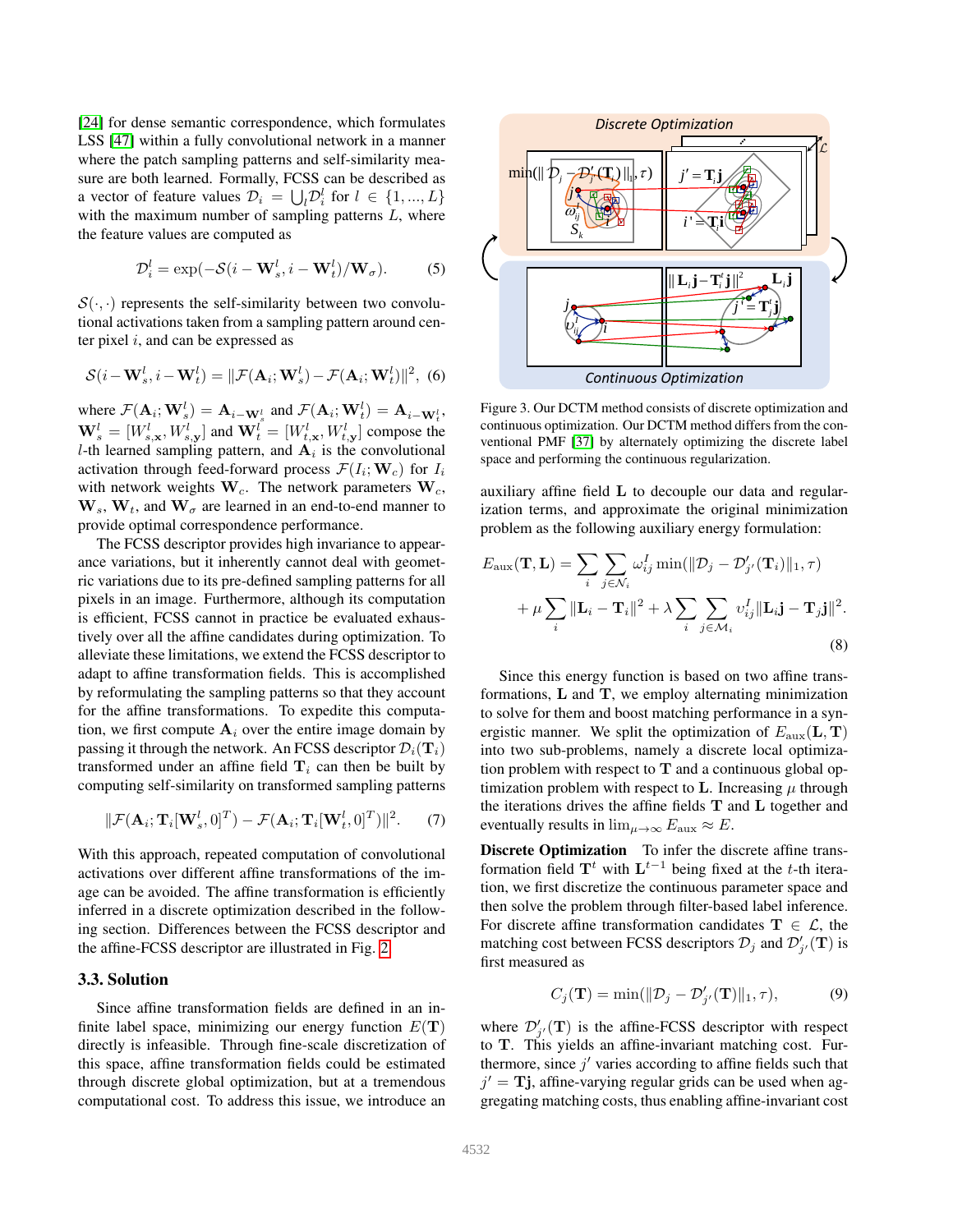[\[24\]](#page-8-6) for dense semantic correspondence, which formulates LSS [\[47\]](#page-9-10) within a fully convolutional network in a manner where the patch sampling patterns and self-similarity measure are both learned. Formally, FCSS can be described as a vector of feature values  $\mathcal{D}_i = \bigcup_l \mathcal{D}_i^l$  for  $l \in \{1, ..., L\}$ with the maximum number of sampling patterns  $L$ , where the feature values are computed as

$$
\mathcal{D}_i^l = \exp(-\mathcal{S}(i - \mathbf{W}_s^l, i - \mathbf{W}_t^l) / \mathbf{W}_\sigma). \tag{5}
$$

 $S(\cdot, \cdot)$  represents the self-similarity between two convolutional activations taken from a sampling pattern around center pixel  $i$ , and can be expressed as

$$
\mathcal{S}(i - \mathbf{W}_s^l, i - \mathbf{W}_t^l) = ||\mathcal{F}(\mathbf{A}_i; \mathbf{W}_s^l) - \mathcal{F}(\mathbf{A}_i; \mathbf{W}_t^l)||^2, (6)
$$

where  $\mathcal{F}(\mathbf{A}_i; \mathbf{W}_s^l) = \mathbf{A}_{i-\mathbf{W}_s^l}$  and  $\mathcal{F}(\mathbf{A}_i; \mathbf{W}_t^l) = \mathbf{A}_{i-\mathbf{W}_t^l}$ ,  $\mathbf{W}_s^l = [W_{s,\mathbf{x}}^l, W_{s,\mathbf{y}}^l]$  and  $\mathbf{W}_t^l = [W_{t,\mathbf{x}}^l, W_{t,\mathbf{y}}^l]$  compose the *l*-th learned sampling pattern, and  $A_i$  is the convolutional activation through feed-forward process  $\mathcal{F}(I_i; \mathbf{W}_c)$  for  $I_i$ with network weights  $W_c$ . The network parameters  $W_c$ ,  $W_s$ ,  $W_t$ , and  $W_\sigma$  are learned in an end-to-end manner to provide optimal correspondence performance.

The FCSS descriptor provides high invariance to appearance variations, but it inherently cannot deal with geometric variations due to its pre-defined sampling patterns for all pixels in an image. Furthermore, although its computation is efficient, FCSS cannot in practice be evaluated exhaustively over all the affine candidates during optimization. To alleviate these limitations, we extend the FCSS descriptor to adapt to affine transformation fields. This is accomplished by reformulating the sampling patterns so that they account for the affine transformations. To expedite this computation, we first compute  $A_i$  over the entire image domain by passing it through the network. An FCSS descriptor  $\mathcal{D}_i(\mathbf{T}_i)$ transformed under an affine field  $T_i$  can then be built by computing self-similarity on transformed sampling patterns

$$
\|\mathcal{F}(\mathbf{A}_i; \mathbf{T}_i[\mathbf{W}_s^l, 0]^T) - \mathcal{F}(\mathbf{A}_i; \mathbf{T}_i[\mathbf{W}_t^l, 0]^T)\|^2.
$$
 (7)

With this approach, repeated computation of convolutional activations over different affine transformations of the image can be avoided. The affine transformation is efficiently inferred in a discrete optimization described in the following section. Differences between the FCSS descriptor and the affine-FCSS descriptor are illustrated in Fig. [2.](#page-2-1)

#### 3.3. Solution

Since affine transformation fields are defined in an infinite label space, minimizing our energy function  $E(T)$ directly is infeasible. Through fine-scale discretization of this space, affine transformation fields could be estimated through discrete global optimization, but at a tremendous computational cost. To address this issue, we introduce an



<span id="page-3-0"></span>Figure 3. Our DCTM method consists of discrete optimization and continuous optimization. Our DCTM method differs from the conventional PMF [\[37\]](#page-8-13) by alternately optimizing the discrete label space and performing the continuous regularization.

auxiliary affine field L to decouple our data and regularization terms, and approximate the original minimization problem as the following auxiliary energy formulation:

$$
E_{\text{aux}}(\mathbf{T}, \mathbf{L}) = \sum_{i} \sum_{j \in \mathcal{N}_i} \omega_{ij}^I \min(||\mathcal{D}_j - \mathcal{D}'_{j'}(\mathbf{T}_i)||_1, \tau)
$$
  
+ 
$$
\mu \sum_{i} ||\mathbf{L}_i - \mathbf{T}_i||^2 + \lambda \sum_{i} \sum_{j \in \mathcal{M}_i} \upsilon_{ij}^I ||\mathbf{L}_i \mathbf{j} - \mathbf{T}_j \mathbf{j}||^2.
$$
 (8)

Since this energy function is based on two affine transformations,  $L$  and  $T$ , we employ alternating minimization to solve for them and boost matching performance in a synergistic manner. We split the optimization of  $E_{\text{aux}}(L, T)$ into two sub-problems, namely a discrete local optimization problem with respect to  $T$  and a continuous global optimization problem with respect to L. Increasing  $\mu$  through the iterations drives the affine fields T and L together and eventually results in  $\lim_{\mu \to \infty} E_{\text{aux}} \approx E$ .

Discrete Optimization To infer the discrete affine transformation field  $T^t$  with  $L^{t-1}$  being fixed at the t-th iteration, we first discretize the continuous parameter space and then solve the problem through filter-based label inference. For discrete affine transformation candidates  $T \in \mathcal{L}$ , the matching cost between FCSS descriptors  $\mathcal{D}_j$  and  $\mathcal{D}'_{j'}(\mathbf{T})$  is first measured as

$$
C_j(\mathbf{T}) = \min(\|\mathcal{D}_j - \mathcal{D}'_{j'}(\mathbf{T})\|_1, \tau),\tag{9}
$$

where  $\mathcal{D}'_{j'}(\mathbf{T})$  is the affine-FCSS descriptor with respect to T. This yields an affine-invariant matching cost. Furthermore, since  $j'$  varies according to affine fields such that  $j' = T$ j, affine-varying regular grids can be used when aggregating matching costs, thus enabling affine-invariant cost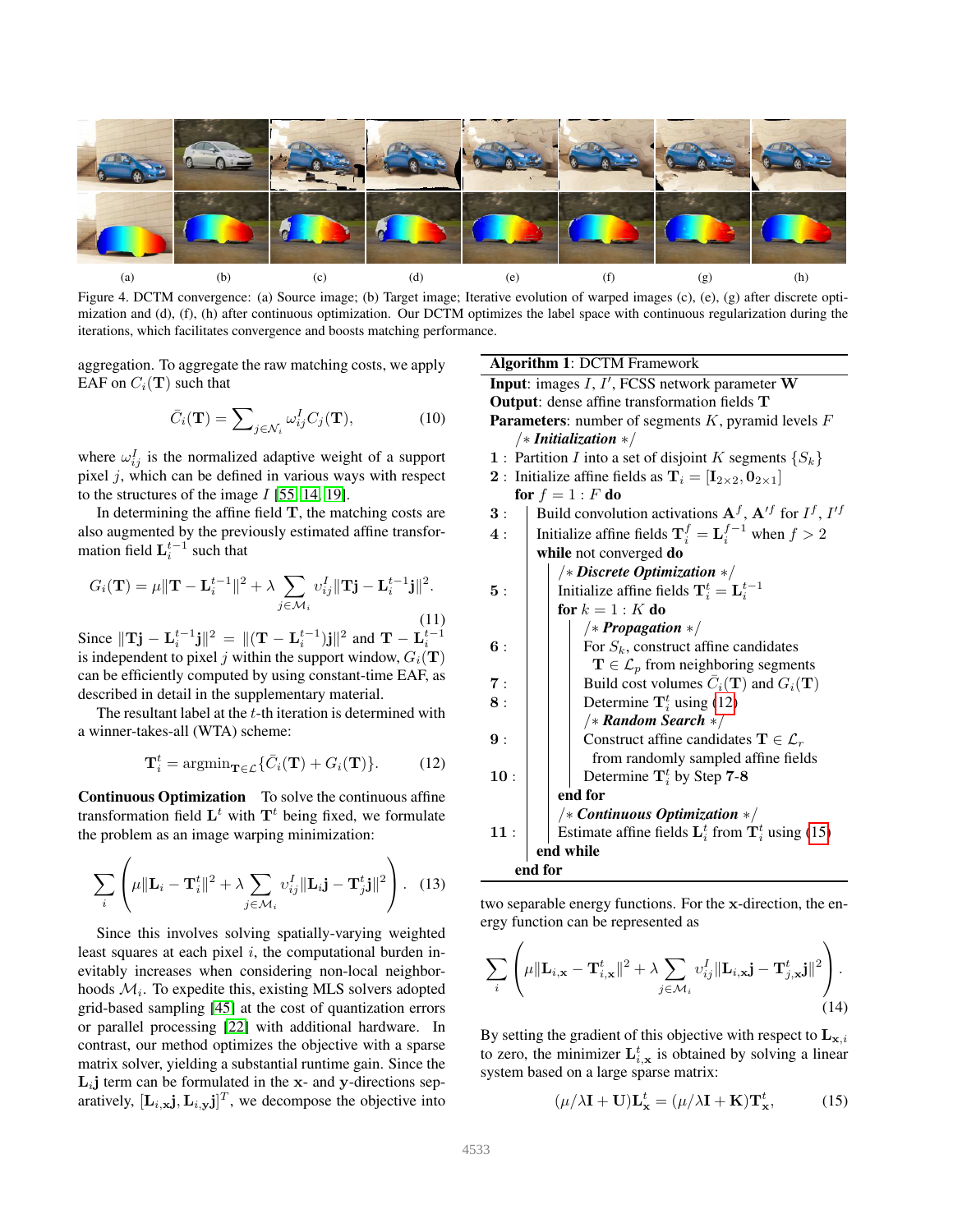

Figure 4. DCTM convergence: (a) Source image; (b) Target image; Iterative evolution of warped images (c), (e), (g) after discrete optimization and (d), (f), (h) after continuous optimization. Our DCTM optimizes the label space with continuous regularization during the iterations, which facilitates convergence and boosts matching performance.

<span id="page-4-2"></span>aggregation. To aggregate the raw matching costs, we apply EAF on  $C_i(\mathbf{T})$  such that

$$
\bar{C}_i(\mathbf{T}) = \sum_{j \in \mathcal{N}_i} \omega_{ij}^I C_j(\mathbf{T}), \tag{10}
$$

where  $\omega_{ij}^I$  is the normalized adaptive weight of a support pixel  $j$ , which can be defined in various ways with respect to the structures of the image  $I$  [\[55,](#page-9-13) [14,](#page-8-36) [19\]](#page-8-32).

In determining the affine field  $T$ , the matching costs are also augmented by the previously estimated affine transformation field  $\mathbf{L}_{i}^{t-1}$  such that

$$
G_i(\mathbf{T}) = \mu \|\mathbf{T} - \mathbf{L}_i^{t-1}\|^2 + \lambda \sum_{j \in \mathcal{M}_i} v_{ij}^I \|\mathbf{T} \mathbf{j} - \mathbf{L}_i^{t-1} \mathbf{j}\|^2.
$$
\n(11)

Since  $\|\mathbf{Tj} - \mathbf{L}_i^{t-1}\mathbf{j}\|^2 = \|(\mathbf{T} - \mathbf{L}_i^{t-1})\mathbf{j}\|^2$  and  $\mathbf{T} - \mathbf{L}_i^{t-1}$ is independent to pixel j within the support window,  $G_i(\mathbf{T})$ can be efficiently computed by using constant-time EAF, as described in detail in the supplementary material.

The resultant label at the  $t$ -th iteration is determined with a winner-takes-all (WTA) scheme:

<span id="page-4-0"></span>
$$
\mathbf{T}_{i}^{t} = \operatorname{argmin}_{\mathbf{T} \in \mathcal{L}} \{ \bar{C}_{i}(\mathbf{T}) + G_{i}(\mathbf{T}) \}.
$$
 (12)

Continuous Optimization To solve the continuous affine transformation field  $\mathbf{L}^t$  with  $\mathbf{T}^t$  being fixed, we formulate the problem as an image warping minimization:

$$
\sum_{i} \left( \mu \|\mathbf{L}_{i} - \mathbf{T}_{i}^{t}\|^{2} + \lambda \sum_{j \in \mathcal{M}_{i}} v_{ij}^{I} \|\mathbf{L}_{i}\mathbf{j} - \mathbf{T}_{j}^{t}\mathbf{j}\|^{2} \right). \quad (13)
$$

Since this involves solving spatially-varying weighted least squares at each pixel  $i$ , the computational burden inevitably increases when considering non-local neighborhoods  $\mathcal{M}_i$ . To expedite this, existing MLS solvers adopted grid-based sampling [\[45\]](#page-9-4) at the cost of quantization errors or parallel processing [\[22\]](#page-8-31) with additional hardware. In contrast, our method optimizes the objective with a sparse matrix solver, yielding a substantial runtime gain. Since the  $L_i$ j term can be formulated in the x- and y-directions separatively,  $[\mathbf{L}_{i,\mathbf{x}}\mathbf{j}, \mathbf{L}_{i,\mathbf{y}}\mathbf{j}]^T$ , we decompose the objective into

Algorithm 1: DCTM Framework **Input:** images  $I, I'$ , FCSS network parameter  $W$ Output: dense affine transformation fields T **Parameters:** number of segments  $K$ , pyramid levels  $F$ /∗ *Initialization* ∗/ 1 : Partition I into a set of disjoint K segments  $\{S_k\}$ 2 : Initialize affine fields as  $T_i = [I_{2\times 2}, 0_{2\times 1}]$ for  $f = 1 : F$  do **3** : | Build convolution activations  $A^f$ ,  $A'^f$  for  $I^f$ ,  $I'^f$ 4 : | Initialize affine fields  $\mathbf{T}_i^f = \mathbf{L}_i^{f-1}$  when  $f > 2$ while not converged do /∗ *Discrete Optimization* ∗/ **5** :  $\begin{bmatrix} \end{bmatrix}$  Initialize affine fields  $\mathbf{T}_i^t = \mathbf{L}_i^{t-1}$ for  $k = 1 : K$  do /∗ *Propagation* ∗/  $\mathbf{6}$  :  $\vert$   $\vert$  For  $S_k$ , construct affine candidates  $\mathbf{T} \in \mathcal{L}_p$  from neighboring segments 7 :  $\parallel$  Build cost volumes  $\bar{C}_i(\mathbf{T})$  and  $G_i(\mathbf{T})$  $8: \|\cdot\|$  Determine  $\mathbf{T}_i^t$  using [\(12\)](#page-4-0) /∗ *Random Search* ∗/ 9 :  $\vert$   $\vert$  Construct affine candidates  $\mathbf{T} \in \mathcal{L}_r$ from randomly sampled affine fields 10 :  $\vert$   $\vert$  Determine  $\mathbf{T}_i^t$  by Step 7-8 end for /∗ *Continuous Optimization* ∗/ 11 : | Estimate affine fields  $\mathbf{L}_i^t$  from  $\mathbf{T}_i^t$  using [\(15\)](#page-4-1) end while end for

two separable energy functions. For the x-direction, the energy function can be represented as

$$
\sum_{i} \left( \mu \|\mathbf{L}_{i,\mathbf{x}} - \mathbf{T}_{i,\mathbf{x}}^{t}\|^{2} + \lambda \sum_{j \in \mathcal{M}_{i}} v_{ij}^{I} \|\mathbf{L}_{i,\mathbf{x}}\mathbf{j} - \mathbf{T}_{j,\mathbf{x}}^{t}\mathbf{j}\|^{2} \right). \tag{14}
$$

By setting the gradient of this objective with respect to  $\mathbf{L}_{\mathbf{x},i}$ to zero, the minimizer  $\mathbf{L}_{i,\mathbf{x}}^{t}$  is obtained by solving a linear system based on a large sparse matrix:

<span id="page-4-1"></span>
$$
(\mu/\lambda \mathbf{I} + \mathbf{U})\mathbf{L}_{\mathbf{x}}^t = (\mu/\lambda \mathbf{I} + \mathbf{K})\mathbf{T}_{\mathbf{x}}^t,\tag{15}
$$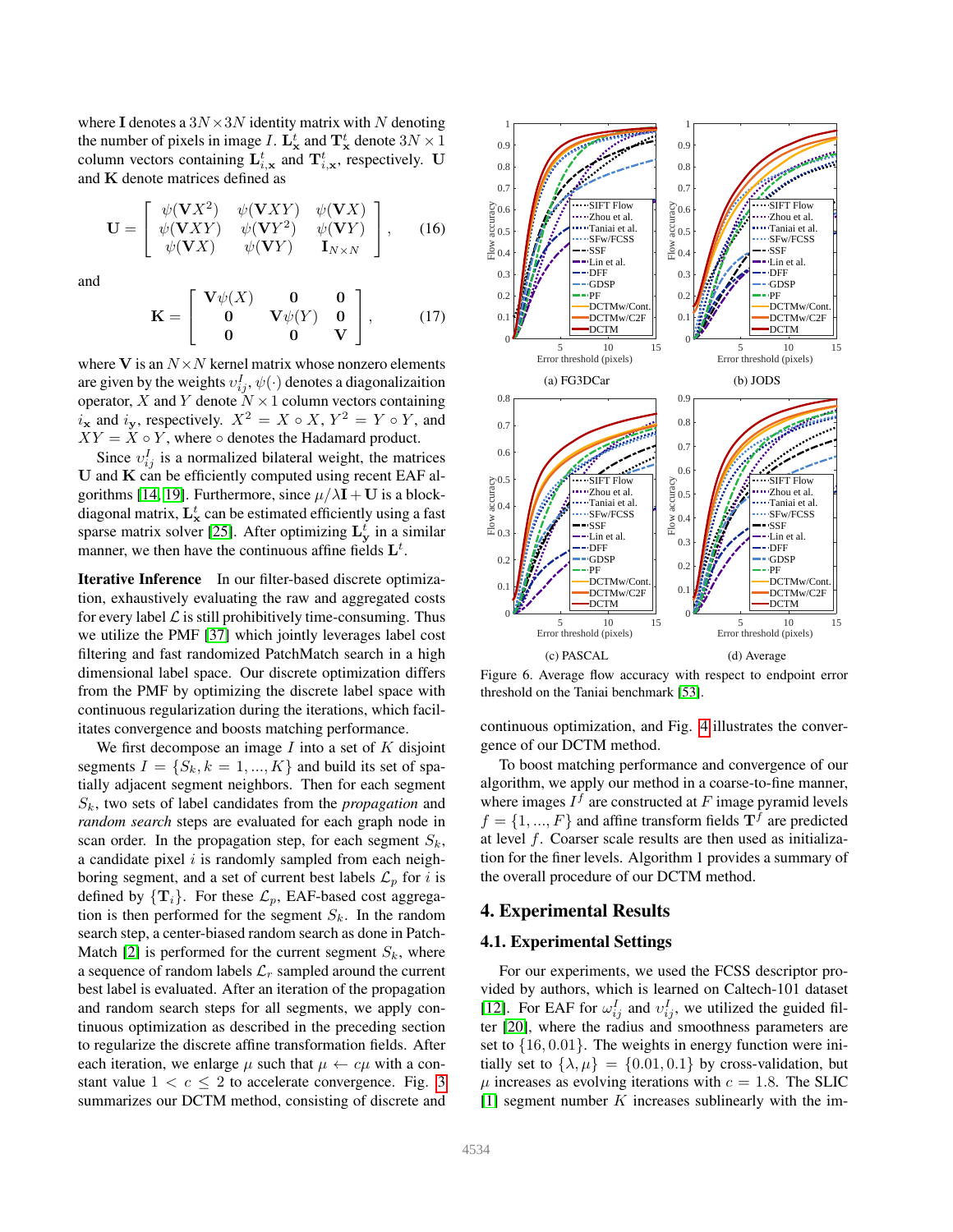where I denotes a  $3N \times 3N$  identity matrix with N denoting the number of pixels in image I.  $\mathbf{L}_{\mathbf{x}}^t$  and  $\mathbf{T}_{\mathbf{x}}^t$  denote  $3N \times 1$ column vectors containing  $\mathbf{L}_{i,\mathbf{x}}^{t}$  and  $\mathbf{T}_{i,\mathbf{x}}^{t}$ , respectively. U and K denote matrices defined as

$$
\mathbf{U} = \begin{bmatrix} \psi(\mathbf{V}X^2) & \psi(\mathbf{V}XY) & \psi(\mathbf{V}X) \\ \psi(\mathbf{V}XY) & \psi(\mathbf{V}Y^2) & \psi(\mathbf{V}Y) \\ \psi(\mathbf{V}X) & \psi(\mathbf{V}Y) & \mathbf{I}_{N\times N} \end{bmatrix}, \qquad (16)
$$

and

$$
\mathbf{K} = \begin{bmatrix} \mathbf{V}\psi(X) & \mathbf{0} & \mathbf{0} \\ \mathbf{0} & \mathbf{V}\psi(Y) & \mathbf{0} \\ \mathbf{0} & \mathbf{0} & \mathbf{V} \end{bmatrix}, \quad (17)
$$

where V is an  $N \times N$  kernel matrix whose nonzero elements are given by the weights  $v_{ij}^I, \psi(\cdot)$  denotes a diagonalizaition operator, X and Y denote  $N \times 1$  column vectors containing  $i_x$  and  $i_y$ , respectively.  $X^2 = X \circ X$ ,  $Y^2 = Y \circ Y$ , and  $XY = X \circ Y$ , where  $\circ$  denotes the Hadamard product.

Since  $v_{ij}^I$  is a normalized bilateral weight, the matrices U and K can be efficiently computed using recent EAF al-gorithms [\[14,](#page-8-36) [19\]](#page-8-32). Furthermore, since  $\mu/\lambda I + U$  is a blockdiagonal matrix,  $\mathbf{L}^t_{\mathbf{x}}$  can be estimated efficiently using a fast sparse matrix solver [\[25\]](#page-8-37). After optimizing  $\mathbf{L}_{\mathbf{y}}^{t}$  in a similar manner, we then have the continuous affine fields  $\mathbf{L}^{t}$ .

Iterative Inference In our filter-based discrete optimization, exhaustively evaluating the raw and aggregated costs for every label  $\mathcal L$  is still prohibitively time-consuming. Thus we utilize the PMF [\[37\]](#page-8-13) which jointly leverages label cost filtering and fast randomized PatchMatch search in a high dimensional label space. Our discrete optimization differs from the PMF by optimizing the discrete label space with continuous regularization during the iterations, which facilitates convergence and boosts matching performance.

We first decompose an image  $I$  into a set of  $K$  disjoint segments  $I = \{S_k, k = 1, ..., K\}$  and build its set of spatially adjacent segment neighbors. Then for each segment  $S_k$ , two sets of label candidates from the *propagation* and *random search* steps are evaluated for each graph node in scan order. In the propagation step, for each segment  $S_k$ , a candidate pixel  $i$  is randomly sampled from each neighboring segment, and a set of current best labels  $\mathcal{L}_p$  for i is defined by  $\{T_i\}$ . For these  $\mathcal{L}_p$ , EAF-based cost aggregation is then performed for the segment  $S_k$ . In the random search step, a center-biased random search as done in Patch-Match [\[2\]](#page-8-16) is performed for the current segment  $S_k$ , where a sequence of random labels  $\mathcal{L}_r$  sampled around the current best label is evaluated. After an iteration of the propagation and random search steps for all segments, we apply continuous optimization as described in the preceding section to regularize the discrete affine transformation fields. After each iteration, we enlarge  $\mu$  such that  $\mu \leftarrow c\mu$  with a constant value  $1 < c \leq 2$  to accelerate convergence. Fig. [3](#page-3-0) summarizes our DCTM method, consisting of discrete and



<span id="page-5-0"></span>Figure 6. Average flow accuracy with respect to endpoint error threshold on the Taniai benchmark [\[53\]](#page-9-8).

continuous optimization, and Fig. [4](#page-4-2) illustrates the convergence of our DCTM method.

To boost matching performance and convergence of our algorithm, we apply our method in a coarse-to-fine manner, where images  $I^f$  are constructed at F image pyramid levels  $f = \{1, ..., F\}$  and affine transform fields  $\mathbf{T}^{f}$  are predicted at level  $f$ . Coarser scale results are then used as initialization for the finer levels. Algorithm 1 provides a summary of the overall procedure of our DCTM method.

# 4. Experimental Results

## 4.1. Experimental Settings

For our experiments, we used the FCSS descriptor provided by authors, which is learned on Caltech-101 dataset [\[12\]](#page-8-38). For EAF for  $\omega_{ij}^I$  and  $\nu_{ij}^I$ , we utilized the guided filter [\[20\]](#page-8-39), where the radius and smoothness parameters are set to  $\{16, 0.01\}$ . The weights in energy function were initially set to  $\{\lambda, \mu\} = \{0.01, 0.1\}$  by cross-validation, but  $\mu$  increases as evolving iterations with  $c = 1.8$ . The SLIC  $[1]$  segment number K increases sublinearly with the im-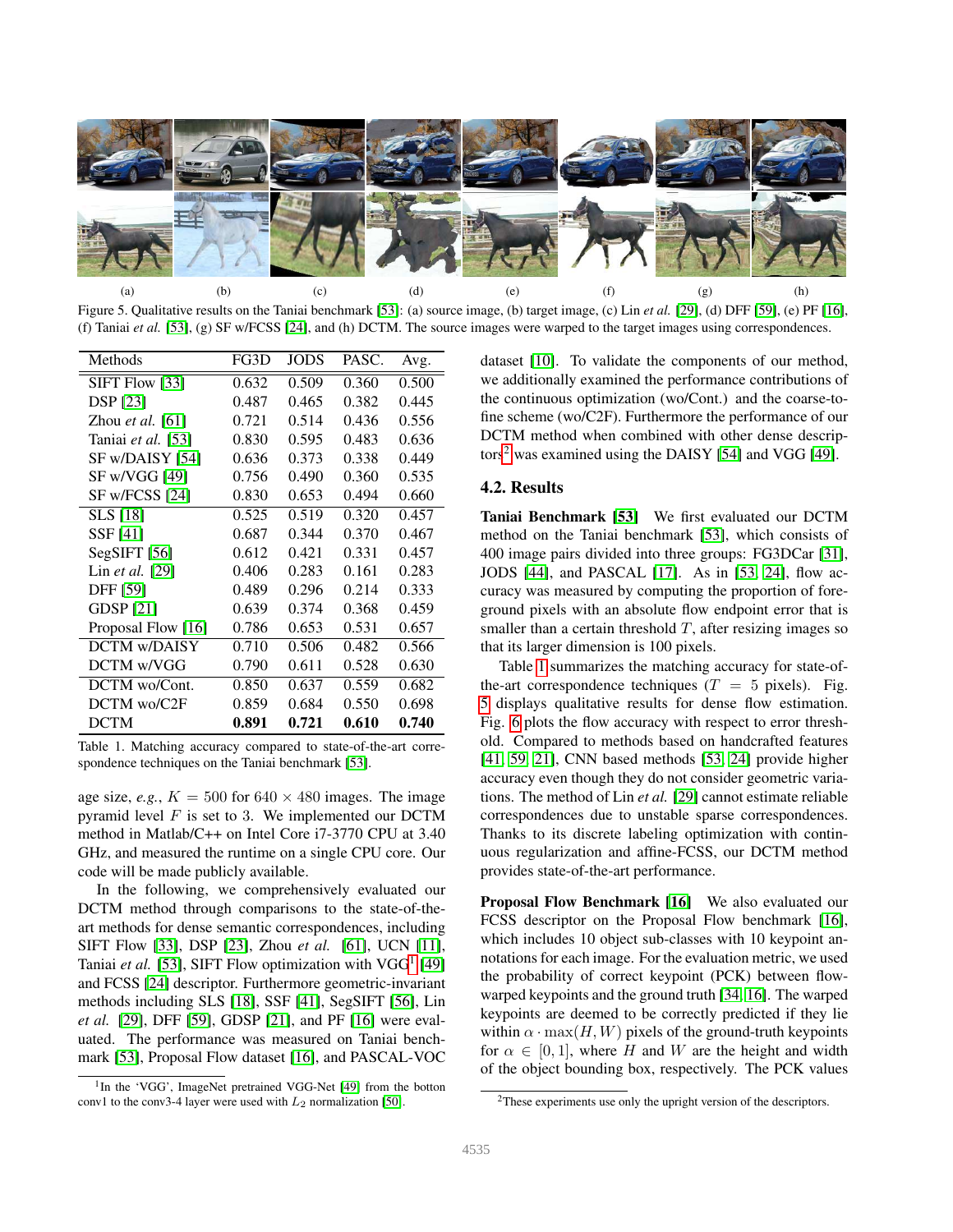

Figure 5. Qualitative results on the Taniai benchmark [\[53\]](#page-9-8): (a) source image, (b) target image, (c) Lin *et al.* [\[29\]](#page-8-11), (d) DFF [\[59\]](#page-9-2), (e) PF [\[16\]](#page-8-20), (f) Taniai *et al.* [\[53\]](#page-9-8), (g) SF w/FCSS [\[24\]](#page-8-6), and (h) DCTM. The source images were warped to the target images using correspondences.

<span id="page-6-3"></span>

| Methods                 | FG3D  | <b>JODS</b> | PASC. | Avg.  |
|-------------------------|-------|-------------|-------|-------|
| SIFT Flow [33]          | 0.632 | 0.509       | 0.360 | 0.500 |
| <b>DSP</b> [23]         | 0.487 | 0.465       | 0.382 | 0.445 |
| Zhou <i>et al.</i> [61] | 0.721 | 0.514       | 0.436 | 0.556 |
| Taniai et al. [53]      | 0.830 | 0.595       | 0.483 | 0.636 |
| SF w/DAISY [54]         | 0.636 | 0.373       | 0.338 | 0.449 |
| SF w/VGG [49]           | 0.756 | 0.490       | 0.360 | 0.535 |
| SF w/FCSS [24]          | 0.830 | 0.653       | 0.494 | 0.660 |
| <b>SLS</b> [18]         | 0.525 | 0.519       | 0.320 | 0.457 |
| SSF [41]                | 0.687 | 0.344       | 0.370 | 0.467 |
| $SegSIFT$ [56]          | 0.612 | 0.421       | 0.331 | 0.457 |
| Lin <i>et al.</i> [29]  | 0.406 | 0.283       | 0.161 | 0.283 |
| <b>DFF</b> [59]         | 0.489 | 0.296       | 0.214 | 0.333 |
| <b>GDSP</b> [21]        | 0.639 | 0.374       | 0.368 | 0.459 |
| Proposal Flow [16]      | 0.786 | 0.653       | 0.531 | 0.657 |
| <b>DCTM w/DAISY</b>     | 0.710 | 0.506       | 0.482 | 0.566 |
| DCTM w/VGG              | 0.790 | 0.611       | 0.528 | 0.630 |
| DCTM wo/Cont.           | 0.850 | 0.637       | 0.559 | 0.682 |
| DCTM wo/C2F             | 0.859 | 0.684       | 0.550 | 0.698 |
| <b>DCTM</b>             | 0.891 | 0.721       | 0.610 | 0.740 |

<span id="page-6-2"></span>Table 1. Matching accuracy compared to state-of-the-art correspondence techniques on the Taniai benchmark [\[53\]](#page-9-8).

age size, *e.g.*,  $K = 500$  for  $640 \times 480$  images. The image pyramid level  $F$  is set to 3. We implemented our DCTM method in Matlab/C++ on Intel Core i7-3770 CPU at 3.40 GHz, and measured the runtime on a single CPU core. Our code will be made publicly available.

In the following, we comprehensively evaluated our DCTM method through comparisons to the state-of-theart methods for dense semantic correspondences, including SIFT Flow [\[33\]](#page-8-1), DSP [\[23\]](#page-8-23), Zhou *et al.* [\[61\]](#page-9-3), UCN [\[11\]](#page-8-5), Taniai et al. [\[53\]](#page-9-8), SIFT Flow optimization with VGG<sup>[1](#page-6-0)</sup> [\[49\]](#page-9-15) and FCSS [\[24\]](#page-8-6) descriptor. Furthermore geometric-invariant methods including SLS [\[18\]](#page-8-7), SSF [\[41\]](#page-8-8), SegSIFT [\[56\]](#page-9-11), Lin *et al.* [\[29\]](#page-8-11), DFF [\[59\]](#page-9-2), GDSP [\[21\]](#page-8-9), and PF [\[16\]](#page-8-20) were evaluated. The performance was measured on Taniai benchmark [\[53\]](#page-9-8), Proposal Flow dataset [\[16\]](#page-8-20), and PASCAL-VOC

dataset [\[10\]](#page-8-21). To validate the components of our method, we additionally examined the performance contributions of the continuous optimization (wo/Cont.) and the coarse-tofine scheme (wo/C2F). Furthermore the performance of our DCTM method when combined with other dense descrip- $\cos^2$  $\cos^2$  was examined using the DAISY [\[54\]](#page-9-7) and VGG [\[49\]](#page-9-15).

## 4.2. Results

Taniai Benchmark [\[53\]](#page-9-8) We first evaluated our DCTM method on the Taniai benchmark [\[53\]](#page-9-8), which consists of 400 image pairs divided into three groups: FG3DCar [\[31\]](#page-8-41), JODS [\[44\]](#page-9-17), and PASCAL [\[17\]](#page-8-42). As in [\[53,](#page-9-8) [24\]](#page-8-6), flow accuracy was measured by computing the proportion of foreground pixels with an absolute flow endpoint error that is smaller than a certain threshold  $T$ , after resizing images so that its larger dimension is 100 pixels.

Table [1](#page-6-2) summarizes the matching accuracy for state-ofthe-art correspondence techniques ( $T = 5$  pixels). Fig. [5](#page-6-3) displays qualitative results for dense flow estimation. Fig. [6](#page-5-0) plots the flow accuracy with respect to error threshold. Compared to methods based on handcrafted features [\[41,](#page-8-8) [59,](#page-9-2) [21\]](#page-8-9), CNN based methods [\[53,](#page-9-8) [24\]](#page-8-6) provide higher accuracy even though they do not consider geometric variations. The method of Lin *et al.* [\[29\]](#page-8-11) cannot estimate reliable correspondences due to unstable sparse correspondences. Thanks to its discrete labeling optimization with continuous regularization and affine-FCSS, our DCTM method provides state-of-the-art performance.

Proposal Flow Benchmark [\[16\]](#page-8-20) We also evaluated our FCSS descriptor on the Proposal Flow benchmark [\[16\]](#page-8-20), which includes 10 object sub-classes with 10 keypoint annotations for each image. For the evaluation metric, we used the probability of correct keypoint (PCK) between flowwarped keypoints and the ground truth [\[34,](#page-8-4) [16\]](#page-8-20). The warped keypoints are deemed to be correctly predicted if they lie within  $\alpha \cdot \max(H, W)$  pixels of the ground-truth keypoints for  $\alpha \in [0, 1]$ , where H and W are the height and width of the object bounding box, respectively. The PCK values

<span id="page-6-0"></span><sup>&</sup>lt;sup>1</sup>In the 'VGG', ImageNet pretrained VGG-Net [\[49\]](#page-9-15) from the botton conv1 to the conv3-4 layer were used with  $L_2$  normalization [\[50\]](#page-9-16).

<span id="page-6-1"></span><sup>2</sup>These experiments use only the upright version of the descriptors.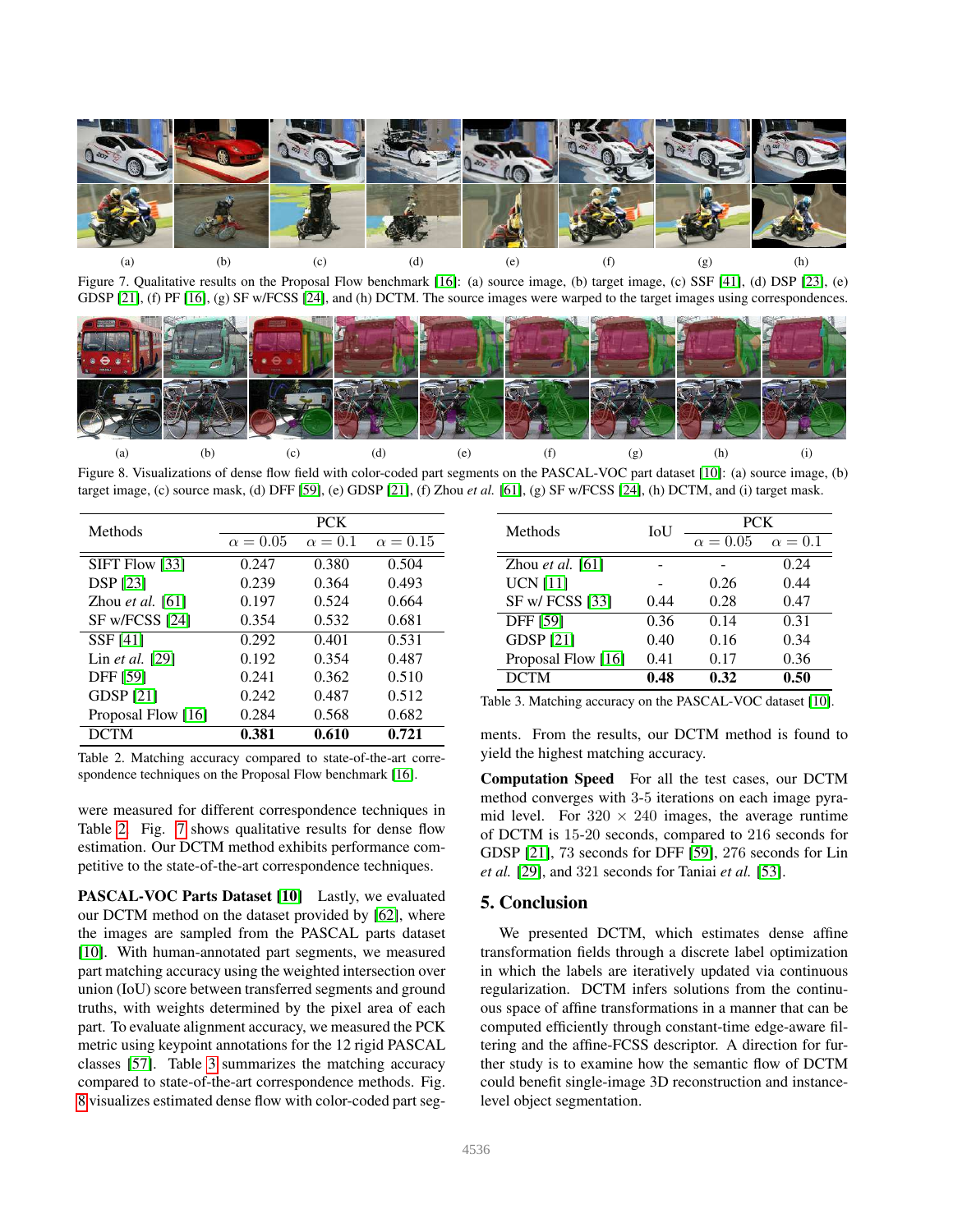

Figure 7. Qualitative results on the Proposal Flow benchmark [\[16\]](#page-8-20): (a) source image, (b) target image, (c) SSF [\[41\]](#page-8-8), (d) DSP [\[23\]](#page-8-23), (e) GDSP [\[21\]](#page-8-9), (f) PF [\[16\]](#page-8-20), (g) SF w/FCSS [\[24\]](#page-8-6), and (h) DCTM. The source images were warped to the target images using correspondences.

<span id="page-7-1"></span>

<span id="page-7-3"></span>Figure 8. Visualizations of dense flow field with color-coded part segments on the PASCAL-VOC part dataset [\[10\]](#page-8-21): (a) source image, (b) target image, (c) source mask, (d) DFF [\[59\]](#page-9-2), (e) GDSP [\[21\]](#page-8-9), (f) Zhou *et al.* [\[61\]](#page-9-3), (g) SF w/FCSS [\[24\]](#page-8-6), (h) DCTM, and (i) target mask.

| Methods                 | <b>PCK</b>      |                |                 |  |
|-------------------------|-----------------|----------------|-----------------|--|
|                         | $\alpha = 0.05$ | $\alpha = 0.1$ | $\alpha = 0.15$ |  |
| SIFT Flow [33]          | 0.247           | 0.380          | 0.504           |  |
| <b>DSP</b> [23]         | 0.239           | 0.364          | 0.493           |  |
| Zhou <i>et al.</i> [61] | 0.197           | 0.524          | 0.664           |  |
| SF w/FCSS [24]          | 0.354           | 0.532          | 0.681           |  |
| SSF [41]                | 0.292           | 0.401          | 0.531           |  |
| Lin et al. [29]         | 0.192           | 0.354          | 0.487           |  |
| <b>DFF</b> [59]         | 0.241           | 0.362          | 0.510           |  |
| <b>GDSP</b> [21]        | 0.242           | 0.487          | 0.512           |  |
| Proposal Flow [16]      | 0.284           | 0.568          | 0.682           |  |
| <b>DCTM</b>             | 0.381           | 0.610          | 0.721           |  |

<span id="page-7-0"></span>Table 2. Matching accuracy compared to state-of-the-art corre-spondence techniques on the Proposal Flow benchmark [\[16\]](#page-8-20).

were measured for different correspondence techniques in Table [2.](#page-7-0) Fig. [7](#page-7-1) shows qualitative results for dense flow estimation. Our DCTM method exhibits performance competitive to the state-of-the-art correspondence techniques.

PASCAL-VOC Parts Dataset [\[10\]](#page-8-21) Lastly, we evaluated our DCTM method on the dataset provided by [\[62\]](#page-9-9), where the images are sampled from the PASCAL parts dataset [\[10\]](#page-8-21). With human-annotated part segments, we measured part matching accuracy using the weighted intersection over union (IoU) score between transferred segments and ground truths, with weights determined by the pixel area of each part. To evaluate alignment accuracy, we measured the PCK metric using keypoint annotations for the 12 rigid PASCAL classes [\[57\]](#page-9-18). Table [3](#page-7-2) summarizes the matching accuracy compared to state-of-the-art correspondence methods. Fig. [8](#page-7-3) visualizes estimated dense flow with color-coded part seg-

| Methods            | IoU  | <b>PCK</b>      |                |  |
|--------------------|------|-----------------|----------------|--|
|                    |      | $\alpha = 0.05$ | $\alpha = 0.1$ |  |
| Zhou et al. $[61]$ |      |                 | 0.24           |  |
| <b>UCN</b> [11]    |      | 0.26            | 0.44           |  |
| SF w/ FCSS [33]    | 0.44 | 0.28            | 0.47           |  |
| <b>DFF</b> [59]    | 0.36 | 0.14            | 0.31           |  |
| <b>GDSP</b> [21]   | 0.40 | 0.16            | 0.34           |  |
| Proposal Flow [16] | 0.41 | 0.17            | 0.36           |  |
| <b>DCTM</b>        | 0.48 | 0.32            | 0.50           |  |

<span id="page-7-2"></span>Table 3. Matching accuracy on the PASCAL-VOC dataset [\[10\]](#page-8-21).

ments. From the results, our DCTM method is found to yield the highest matching accuracy.

Computation Speed For all the test cases, our DCTM method converges with 3-5 iterations on each image pyramid level. For  $320 \times 240$  images, the average runtime of DCTM is 15-20 seconds, compared to 216 seconds for GDSP [\[21\]](#page-8-9), 73 seconds for DFF [\[59\]](#page-9-2), 276 seconds for Lin *et al.* [\[29\]](#page-8-11), and 321 seconds for Taniai *et al.* [\[53\]](#page-9-8).

### 5. Conclusion

We presented DCTM, which estimates dense affine transformation fields through a discrete label optimization in which the labels are iteratively updated via continuous regularization. DCTM infers solutions from the continuous space of affine transformations in a manner that can be computed efficiently through constant-time edge-aware filtering and the affine-FCSS descriptor. A direction for further study is to examine how the semantic flow of DCTM could benefit single-image 3D reconstruction and instancelevel object segmentation.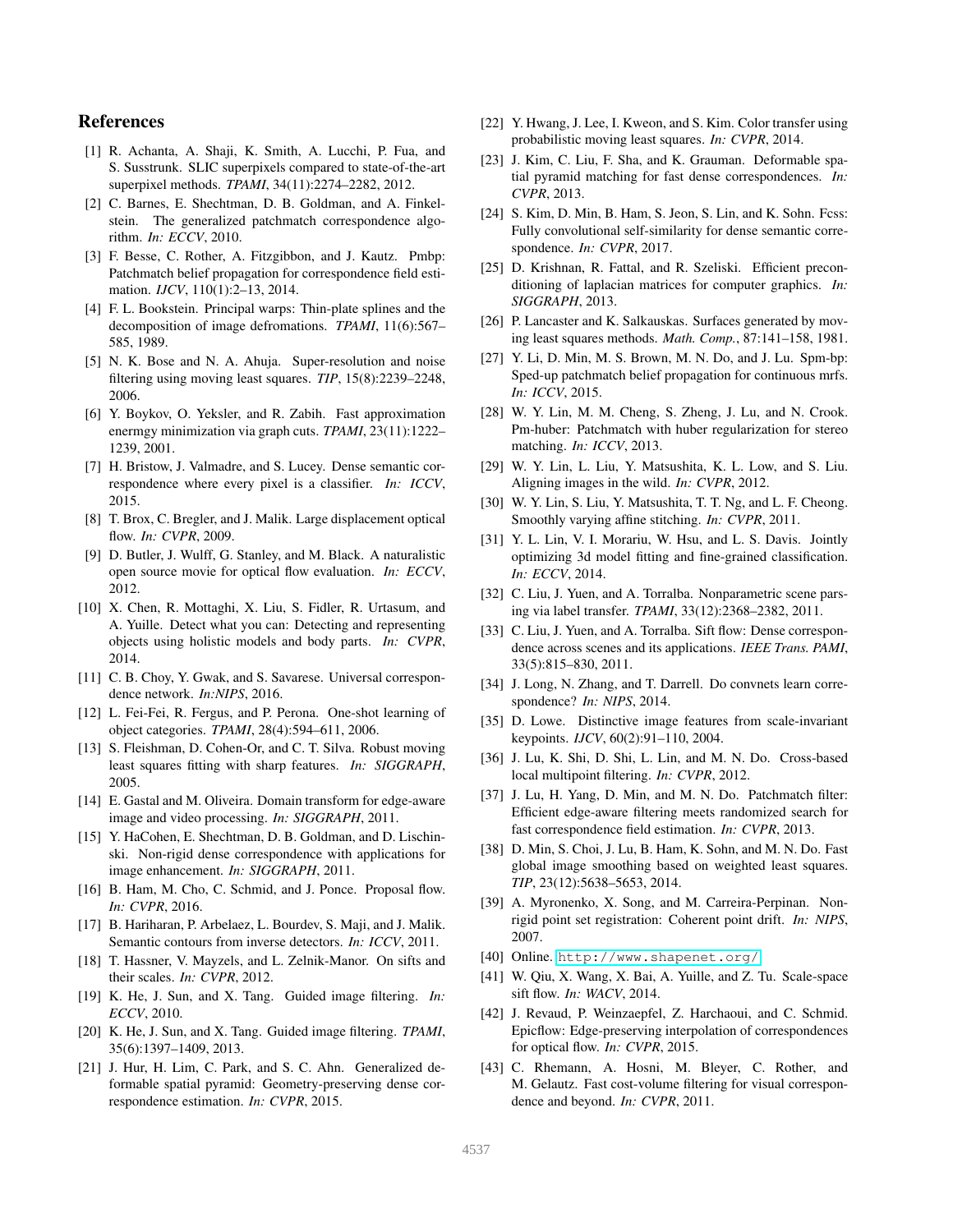## References

- <span id="page-8-40"></span>[1] R. Achanta, A. Shaji, K. Smith, A. Lucchi, P. Fua, and S. Susstrunk. SLIC superpixels compared to state-of-the-art superpixel methods. *TPAMI*, 34(11):2274–2282, 2012.
- <span id="page-8-16"></span>[2] C. Barnes, E. Shechtman, D. B. Goldman, and A. Finkelstein. The generalized patchmatch correspondence algorithm. *In: ECCV*, 2010.
- <span id="page-8-19"></span>[3] F. Besse, C. Rother, A. Fitzgibbon, and J. Kautz. Pmbp: Patchmatch belief propagation for correspondence field estimation. *IJCV*, 110(1):2–13, 2014.
- <span id="page-8-26"></span>[4] F. L. Bookstein. Principal warps: Thin-plate splines and the decomposition of image defromations. *TPAMI*, 11(6):567– 585, 1989.
- <span id="page-8-30"></span>[5] N. K. Bose and N. A. Ahuja. Super-resolution and noise filtering using moving least squares. *TIP*, 15(8):2239–2248, 2006.
- <span id="page-8-12"></span>[6] Y. Boykov, O. Yeksler, and R. Zabih. Fast approximation enermgy minimization via graph cuts. *TPAMI*, 23(11):1222– 1239, 2001.
- <span id="page-8-24"></span>[7] H. Bristow, J. Valmadre, and S. Lucey. Dense semantic correspondence where every pixel is a classifier. *In: ICCV*, 2015.
- <span id="page-8-34"></span>[8] T. Brox, C. Bregler, and J. Malik. Large displacement optical flow. *In: CVPR*, 2009.
- <span id="page-8-3"></span>[9] D. Butler, J. Wulff, G. Stanley, and M. Black. A naturalistic open source movie for optical flow evaluation. *In: ECCV*, 2012.
- <span id="page-8-21"></span>[10] X. Chen, R. Mottaghi, X. Liu, S. Fidler, R. Urtasum, and A. Yuille. Detect what you can: Detecting and representing objects using holistic models and body parts. *In: CVPR*, 2014.
- <span id="page-8-5"></span>[11] C. B. Choy, Y. Gwak, and S. Savarese. Universal correspondence network. *In:NIPS*, 2016.
- <span id="page-8-38"></span>[12] L. Fei-Fei, R. Fergus, and P. Perona. One-shot learning of object categories. *TPAMI*, 28(4):594–611, 2006.
- <span id="page-8-29"></span>[13] S. Fleishman, D. Cohen-Or, and C. T. Silva. Robust moving least squares fitting with sharp features. *In: SIGGRAPH*, 2005.
- <span id="page-8-36"></span>[14] E. Gastal and M. Oliveira. Domain transform for edge-aware image and video processing. *In: SIGGRAPH*, 2011.
- <span id="page-8-0"></span>[15] Y. HaCohen, E. Shechtman, D. B. Goldman, and D. Lischinski. Non-rigid dense correspondence with applications for image enhancement. *In: SIGGRAPH*, 2011.
- <span id="page-8-20"></span>[16] B. Ham, M. Cho, C. Schmid, and J. Ponce. Proposal flow. *In: CVPR*, 2016.
- <span id="page-8-42"></span>[17] B. Hariharan, P. Arbelaez, L. Bourdev, S. Maji, and J. Malik. Semantic contours from inverse detectors. *In: ICCV*, 2011.
- <span id="page-8-7"></span>[18] T. Hassner, V. Mayzels, and L. Zelnik-Manor. On sifts and their scales. *In: CVPR*, 2012.
- <span id="page-8-32"></span>[19] K. He, J. Sun, and X. Tang. Guided image filtering. *In: ECCV*, 2010.
- <span id="page-8-39"></span>[20] K. He, J. Sun, and X. Tang. Guided image filtering. *TPAMI*, 35(6):1397–1409, 2013.
- <span id="page-8-9"></span>[21] J. Hur, H. Lim, C. Park, and S. C. Ahn. Generalized deformable spatial pyramid: Geometry-preserving dense correspondence estimation. *In: CVPR*, 2015.
- <span id="page-8-31"></span>[22] Y. Hwang, J. Lee, I. Kweon, and S. Kim. Color transfer using probabilistic moving least squares. *In: CVPR*, 2014.
- <span id="page-8-23"></span>[23] J. Kim, C. Liu, F. Sha, and K. Grauman. Deformable spatial pyramid matching for fast dense correspondences. *In: CVPR*, 2013.
- <span id="page-8-6"></span>[24] S. Kim, D. Min, B. Ham, S. Jeon, S. Lin, and K. Sohn. Fcss: Fully convolutional self-similarity for dense semantic correspondence. *In: CVPR*, 2017.
- <span id="page-8-37"></span>[25] D. Krishnan, R. Fattal, and R. Szeliski. Efficient preconditioning of laplacian matrices for computer graphics. *In: SIGGRAPH*, 2013.
- <span id="page-8-28"></span>[26] P. Lancaster and K. Salkauskas. Surfaces generated by moving least squares methods. *Math. Comp.*, 87:141–158, 1981.
- <span id="page-8-17"></span>[27] Y. Li, D. Min, M. S. Brown, M. N. Do, and J. Lu. Spm-bp: Sped-up patchmatch belief propagation for continuous mrfs. *In: ICCV*, 2015.
- <span id="page-8-18"></span>[28] W. Y. Lin, M. M. Cheng, S. Zheng, J. Lu, and N. Crook. Pm-huber: Patchmatch with huber regularization for stereo matching. *In: ICCV*, 2013.
- <span id="page-8-11"></span>[29] W. Y. Lin, L. Liu, Y. Matsushita, K. L. Low, and S. Liu. Aligning images in the wild. *In: CVPR*, 2012.
- <span id="page-8-10"></span>[30] W. Y. Lin, S. Liu, Y. Matsushita, T. T. Ng, and L. F. Cheong. Smoothly varying affine stitching. *In: CVPR*, 2011.
- <span id="page-8-41"></span>[31] Y. L. Lin, V. I. Morariu, W. Hsu, and L. S. Davis. Jointly optimizing 3d model fitting and fine-grained classification. *In: ECCV*, 2014.
- <span id="page-8-2"></span>[32] C. Liu, J. Yuen, and A. Torralba. Nonparametric scene parsing via label transfer. *TPAMI*, 33(12):2368–2382, 2011.
- <span id="page-8-1"></span>[33] C. Liu, J. Yuen, and A. Torralba. Sift flow: Dense correspondence across scenes and its applications. *IEEE Trans. PAMI*, 33(5):815–830, 2011.
- <span id="page-8-4"></span>[34] J. Long, N. Zhang, and T. Darrell. Do convnets learn correspondence? *In: NIPS*, 2014.
- <span id="page-8-22"></span>[35] D. Lowe. Distinctive image features from scale-invariant keypoints. *IJCV*, 60(2):91–110, 2004.
- <span id="page-8-15"></span>[36] J. Lu, K. Shi, D. Shi, L. Lin, and M. N. Do. Cross-based local multipoint filtering. *In: CVPR*, 2012.
- <span id="page-8-13"></span>[37] J. Lu, H. Yang, D. Min, and M. N. Do. Patchmatch filter: Efficient edge-aware filtering meets randomized search for fast correspondence field estimation. *In: CVPR*, 2013.
- <span id="page-8-33"></span>[38] D. Min, S. Choi, J. Lu, B. Ham, K. Sohn, and M. N. Do. Fast global image smoothing based on weighted least squares. *TIP*, 23(12):5638–5653, 2014.
- <span id="page-8-27"></span>[39] A. Myronenko, X. Song, and M. Carreira-Perpinan. Nonrigid point set registration: Coherent point drift. *In: NIPS*, 2007.
- <span id="page-8-25"></span>[40] Online. <http://www.shapenet.org/>.
- <span id="page-8-8"></span>[41] W. Qiu, X. Wang, X. Bai, A. Yuille, and Z. Tu. Scale-space sift flow. *In: WACV*, 2014.
- <span id="page-8-35"></span>[42] J. Revaud, P. Weinzaepfel, Z. Harchaoui, and C. Schmid. Epicflow: Edge-preserving interpolation of correspondences for optical flow. *In: CVPR*, 2015.
- <span id="page-8-14"></span>[43] C. Rhemann, A. Hosni, M. Bleyer, C. Rother, and M. Gelautz. Fast cost-volume filtering for visual correspondence and beyond. *In: CVPR*, 2011.